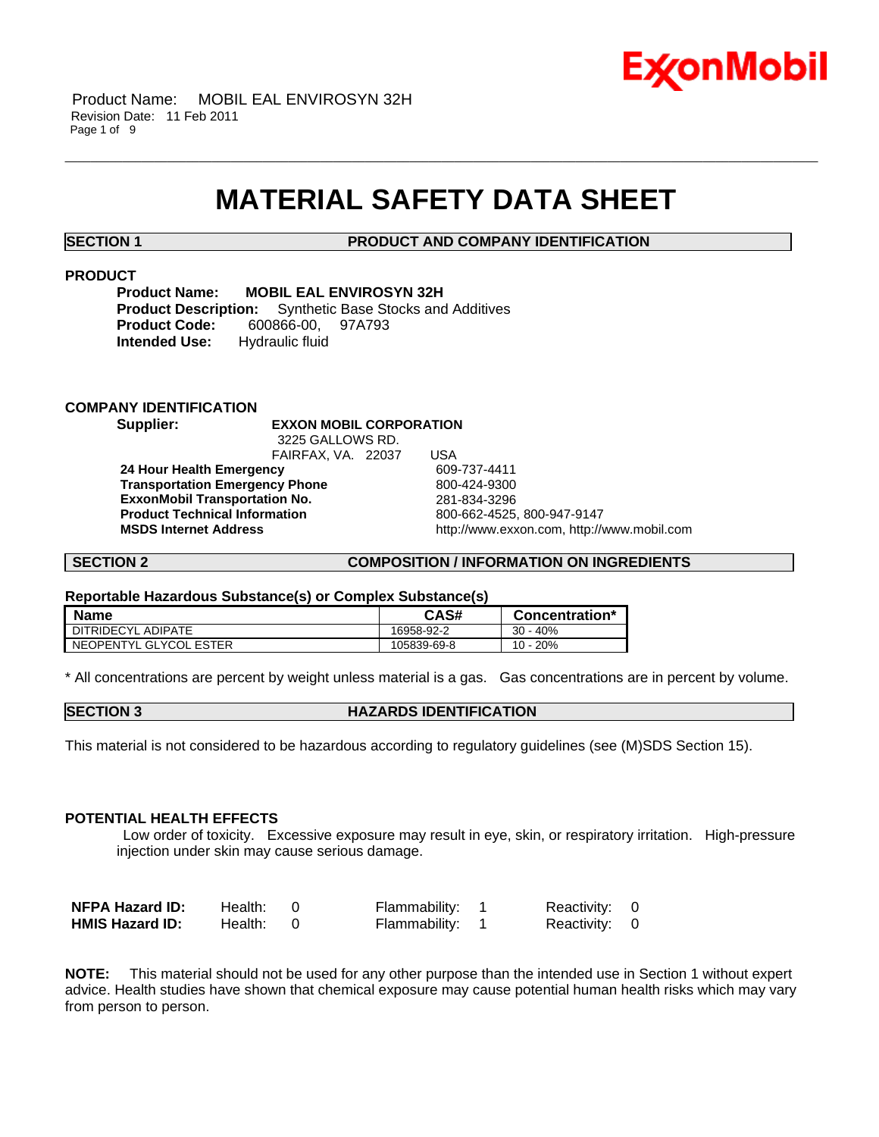

# **MATERIAL SAFETY DATA SHEET**

\_\_\_\_\_\_\_\_\_\_\_\_\_\_\_\_\_\_\_\_\_\_\_\_\_\_\_\_\_\_\_\_\_\_\_\_\_\_\_\_\_\_\_\_\_\_\_\_\_\_\_\_\_\_\_\_\_\_\_\_\_\_\_\_\_\_\_\_\_\_\_\_\_\_\_\_\_\_\_\_\_\_\_\_\_\_\_\_\_\_\_\_\_\_\_\_\_\_\_\_\_\_\_\_\_\_\_\_\_\_\_\_\_\_\_\_\_\_

**SECTION 1 PRODUCT AND COMPANY IDENTIFICATION**

# **PRODUCT**

**Product Name: MOBIL EAL ENVIROSYN 32H**<br>**Product Description:** Synthetic Base Stocks and Synthetic Base Stocks and Additives<br>366-00. 97A793 **Product Code:** 600866-00, **Intended Use:** Hydraulic fluid **Intended Use:** 

# **COMPANY IDENTIFICATION**

**EXXON MOBIL CORPORATION** 3225 GALLOWS RD.

FAIRFAX, VA. 22037 USA **24 Hour Health Emergency** 609-737-4411 **Transportation Emergency Phone** 800-424-9300 **ExxonMobil Transportation No.** 281-834-3296 **Product Technical Information<br>MSDS Internet Address** 

**MSDS Internet Address** http://www.exxon.com, http://www.mobil.com

**SECTION 2 COMPOSITION / INFORMATION ON INGREDIENTS**

#### **Reportable Hazardous Substance(s) or Complex Substance(s)**

| <b>Name</b>            | <b>CAS#</b> | Concentration* |
|------------------------|-------------|----------------|
| DITRIDECYL ADIPATE     | 16958-92-2  | $30 - 40%$     |
| NEOPENTYL GLYCOL ESTER | 105839-69-8 | 10 - 20%       |

\* All concentrations are percent by weight unless material is a gas. Gas concentrations are in percent by volume.

**SECTION 3 HAZARDS IDENTIFICATION** 

This material is not considered to be hazardous according to regulatory guidelines (see (M)SDS Section 15).

# **POTENTIAL HEALTH EFFECTS**

Low order of toxicity. Excessive exposure may result in eye, skin, or respiratory irritation. High-pressure injection under skin may cause serious damage.

| NFPA Hazard ID:        | Health: | Flammability: 1 | Reactivity: 0 |  |
|------------------------|---------|-----------------|---------------|--|
| <b>HMIS Hazard ID:</b> | Health: | Flammability: 1 | Reactivity: 0 |  |

**NOTE:** This material should not be used for any other purpose than the intended use in Section 1 without expert advice. Health studies have shown that chemical exposure may cause potential human health risks which may vary from person to person.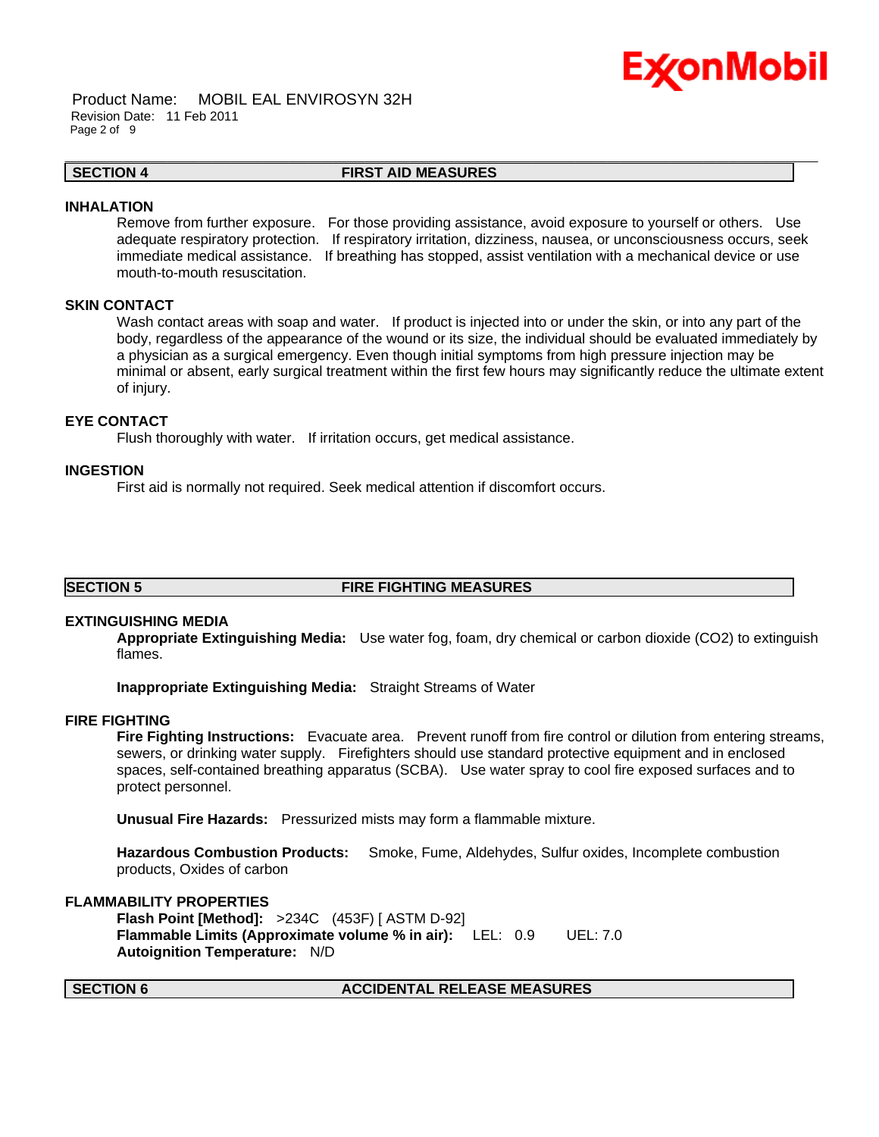

Product Name: MOBIL EAL ENVIROSYN 32H Revision Date: 11 Feb 2011 Page 2 of 9

#### **SECTION 4 FIRST AID MEASURES**

\_\_\_\_\_\_\_\_\_\_\_\_\_\_\_\_\_\_\_\_\_\_\_\_\_\_\_\_\_\_\_\_\_\_\_\_\_\_\_\_\_\_\_\_\_\_\_\_\_\_\_\_\_\_\_\_\_\_\_\_\_\_\_\_\_\_\_\_\_\_\_\_\_\_\_\_\_\_\_\_\_\_\_\_\_\_\_\_\_\_\_\_\_\_\_\_\_\_\_\_\_\_\_\_\_\_\_\_\_\_\_\_\_\_\_\_\_\_

#### **INHALATION**

Remove from further exposure. For those providing assistance, avoid exposure to yourself or others. Use adequate respiratory protection. If respiratory irritation, dizziness, nausea, or unconsciousness occurs, seek immediate medical assistance. If breathing has stopped, assist ventilation with a mechanical device or use mouth-to-mouth resuscitation.

#### **SKIN CONTACT**

Wash contact areas with soap and water. If product is injected into or under the skin, or into any part of the body, regardless of the appearance of the wound or its size, the individual should be evaluated immediately by a physician as a surgical emergency. Even though initial symptoms from high pressure injection may be minimal or absent, early surgical treatment within the first few hours may significantly reduce the ultimate extent of injury.

#### **EYE CONTACT**

Flush thoroughly with water. If irritation occurs, get medical assistance.

#### **INGESTION**

First aid is normally not required. Seek medical attention if discomfort occurs.

### **SECTION 5 FIRE FIGHTING MEASURES**

#### **EXTINGUISHING MEDIA**

**Appropriate Extinguishing Media:** Use water fog, foam, dry chemical or carbon dioxide (CO2) to extinguish flames.

**Inappropriate Extinguishing Media:** Straight Streams of Water

#### **FIRE FIGHTING**

**Fire Fighting Instructions:** Evacuate area. Prevent runoff from fire control or dilution from entering streams, sewers, or drinking water supply. Firefighters should use standard protective equipment and in enclosed spaces, self-contained breathing apparatus (SCBA). Use water spray to cool fire exposed surfaces and to protect personnel.

**Unusual Fire Hazards:** Pressurized mists may form a flammable mixture.

**Hazardous Combustion Products:** Smoke, Fume, Aldehydes, Sulfur oxides, Incomplete combustion products, Oxides of carbon

#### **FLAMMABILITY PROPERTIES**

**Flash Point [Method]:** >234C (453F) [ ASTM D-92] **Flammable Limits (Approximate volume % in air):** LEL: 0.9 UEL: 7.0 **Autoignition Temperature:** N/D

#### **SECTION 6 ACCIDENTAL RELEASE MEASURES**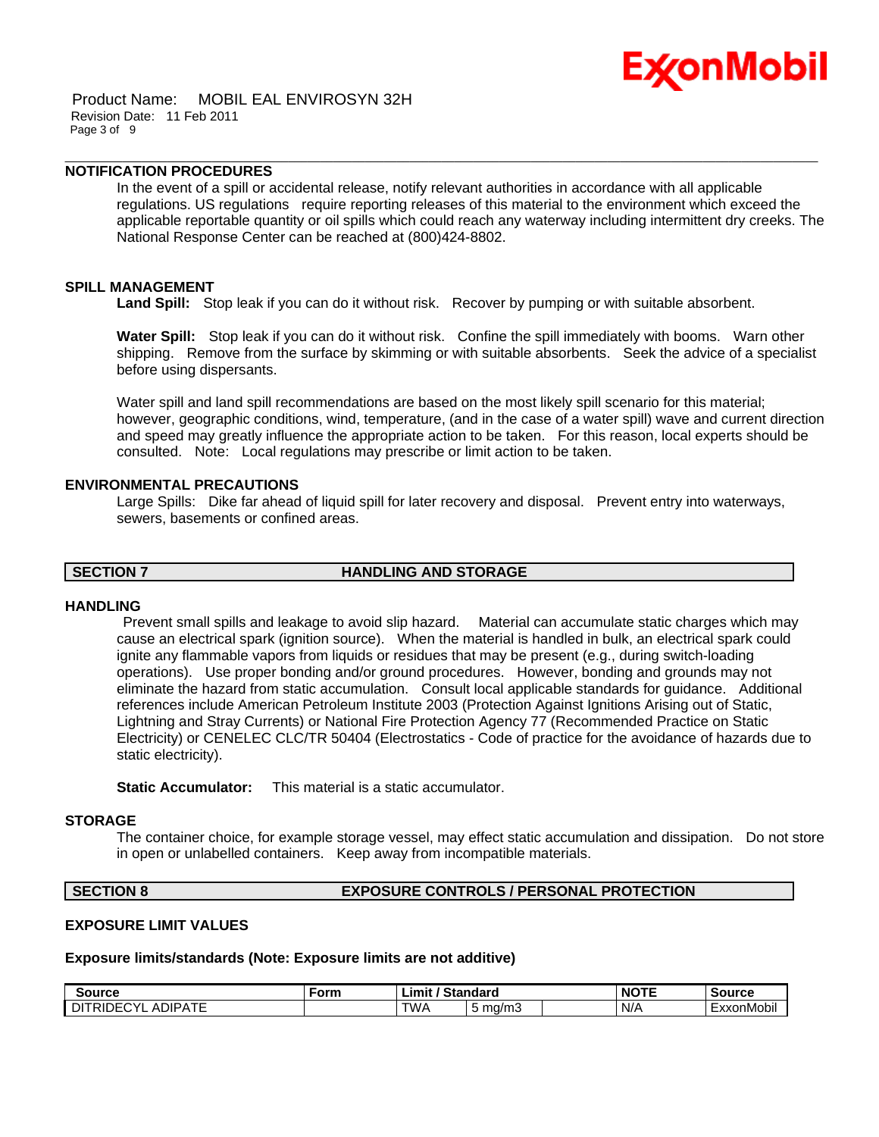

Product Name: MOBIL EAL ENVIROSYN 32H Revision Date: 11 Feb 2011 Page 3 of 9

# **NOTIFICATION PROCEDURES**

In the event of a spill or accidental release, notify relevant authorities in accordance with all applicable regulations. US regulations require reporting releases of this material to the environment which exceed the applicable reportable quantity or oil spills which could reach any waterway including intermittent dry creeks. The National Response Center can be reached at (800)424-8802.

### **SPILL MANAGEMENT**

Land Spill: Stop leak if you can do it without risk. Recover by pumping or with suitable absorbent.

\_\_\_\_\_\_\_\_\_\_\_\_\_\_\_\_\_\_\_\_\_\_\_\_\_\_\_\_\_\_\_\_\_\_\_\_\_\_\_\_\_\_\_\_\_\_\_\_\_\_\_\_\_\_\_\_\_\_\_\_\_\_\_\_\_\_\_\_\_\_\_\_\_\_\_\_\_\_\_\_\_\_\_\_\_\_\_\_\_\_\_\_\_\_\_\_\_\_\_\_\_\_\_\_\_\_\_\_\_\_\_\_\_\_\_\_\_\_

**Water Spill:** Stop leak if you can do it without risk. Confine the spill immediately with booms. Warn other shipping. Remove from the surface by skimming or with suitable absorbents. Seek the advice of a specialist before using dispersants.

Water spill and land spill recommendations are based on the most likely spill scenario for this material; however, geographic conditions, wind, temperature, (and in the case of a water spill) wave and current direction and speed may greatly influence the appropriate action to be taken. For this reason, local experts should be consulted. Note: Local regulations may prescribe or limit action to be taken.

# **ENVIRONMENTAL PRECAUTIONS**

Large Spills: Dike far ahead of liquid spill for later recovery and disposal. Prevent entry into waterways, sewers, basements or confined areas.

#### **SECTION 7 HANDLING AND STORAGE**

# **HANDLING**

Prevent small spills and leakage to avoid slip hazard. Material can accumulate static charges which may cause an electrical spark (ignition source). When the material is handled in bulk, an electrical spark could ignite any flammable vapors from liquids or residues that may be present (e.g., during switch-loading operations). Use proper bonding and/or ground procedures. However, bonding and grounds may not eliminate the hazard from static accumulation. Consult local applicable standards for guidance. Additional references include American Petroleum Institute 2003 (Protection Against Ignitions Arising out of Static, Lightning and Stray Currents) or National Fire Protection Agency 77 (Recommended Practice on Static Electricity) or CENELEC CLC/TR 50404 (Electrostatics - Code of practice for the avoidance of hazards due to static electricity).

**Static Accumulator:** This material is a static accumulator.

### **STORAGE**

The container choice, for example storage vessel, may effect static accumulation and dissipation. Do not store in open or unlabelled containers. Keep away from incompatible materials.

# **SECTION 8 EXPOSURE CONTROLS / PERSONAL PROTECTION**

# **EXPOSURE LIMIT VALUES**

#### **Exposure limits/standards (Note: Exposure limits are not additive)**

| Source                                                                                                    | ∙orm | ∟imit ∶ | <b>Standard</b>                              | <b>NOTF</b> | <b>Source</b>     |
|-----------------------------------------------------------------------------------------------------------|------|---------|----------------------------------------------|-------------|-------------------|
| $\overline{\phantom{a}}$<br>$\sim$<br>.<br>- ADIPA ' '<br>$\cdots$<br>ال<br>⊶∪⊢′<br>≺⊪<br><b>AIL</b><br>∼ |      | TWA     | $m \sim \mu$<br>.1/r<br>טווי<br>. الحاد<br>ັ | N/A         | . .<br>ExxonMobil |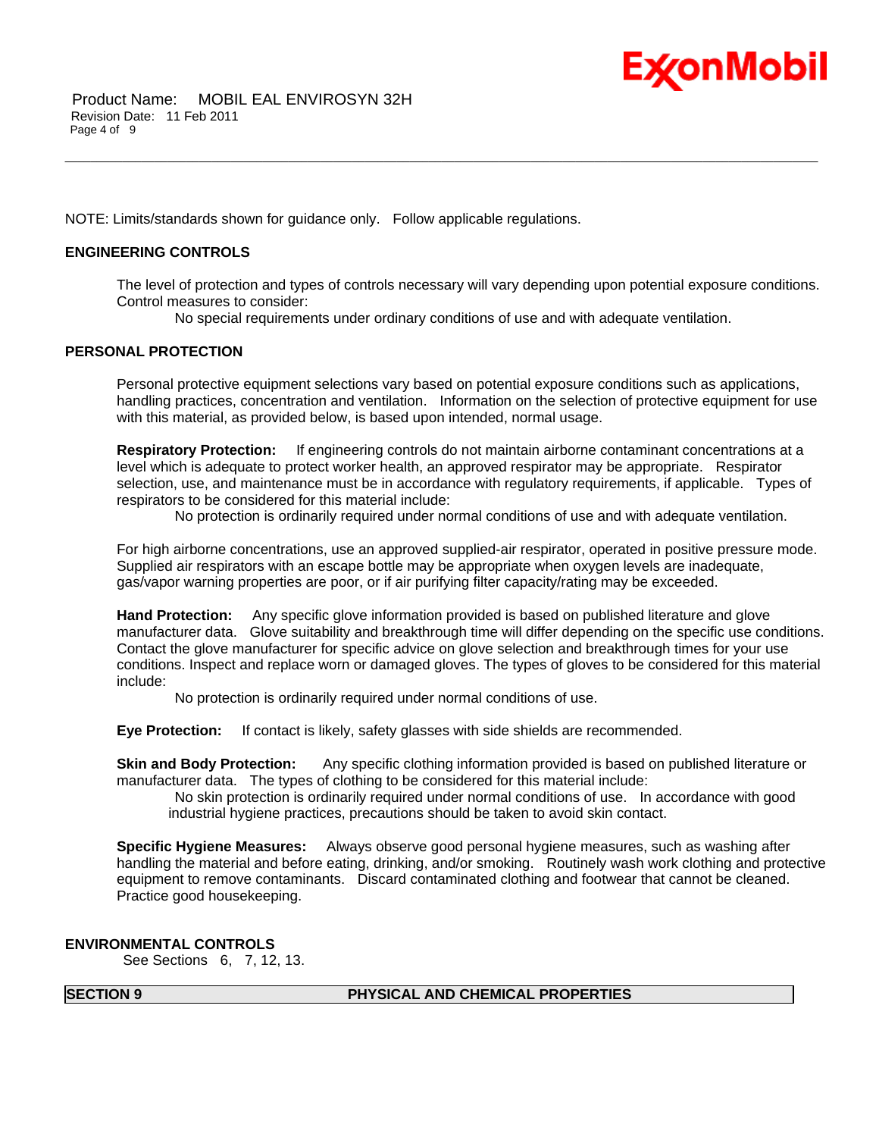

NOTE: Limits/standards shown for guidance only. Follow applicable regulations.

# **ENGINEERING CONTROLS**

The level of protection and types of controls necessary will vary depending upon potential exposure conditions. Control measures to consider:

No special requirements under ordinary conditions of use and with adequate ventilation.

\_\_\_\_\_\_\_\_\_\_\_\_\_\_\_\_\_\_\_\_\_\_\_\_\_\_\_\_\_\_\_\_\_\_\_\_\_\_\_\_\_\_\_\_\_\_\_\_\_\_\_\_\_\_\_\_\_\_\_\_\_\_\_\_\_\_\_\_\_\_\_\_\_\_\_\_\_\_\_\_\_\_\_\_\_\_\_\_\_\_\_\_\_\_\_\_\_\_\_\_\_\_\_\_\_\_\_\_\_\_\_\_\_\_\_\_\_\_

# **PERSONAL PROTECTION**

Personal protective equipment selections vary based on potential exposure conditions such as applications, handling practices, concentration and ventilation. Information on the selection of protective equipment for use with this material, as provided below, is based upon intended, normal usage.

**Respiratory Protection:** If engineering controls do not maintain airborne contaminant concentrations at a level which is adequate to protect worker health, an approved respirator may be appropriate. Respirator selection, use, and maintenance must be in accordance with regulatory requirements, if applicable. Types of respirators to be considered for this material include:

No protection is ordinarily required under normal conditions of use and with adequate ventilation.

For high airborne concentrations, use an approved supplied-air respirator, operated in positive pressure mode. Supplied air respirators with an escape bottle may be appropriate when oxygen levels are inadequate, gas/vapor warning properties are poor, or if air purifying filter capacity/rating may be exceeded.

**Hand Protection:** Any specific glove information provided is based on published literature and glove manufacturer data. Glove suitability and breakthrough time will differ depending on the specific use conditions. Contact the glove manufacturer for specific advice on glove selection and breakthrough times for your use conditions. Inspect and replace worn or damaged gloves. The types of gloves to be considered for this material include:

No protection is ordinarily required under normal conditions of use.

**Eye Protection:** If contact is likely, safety glasses with side shields are recommended.

**Skin and Body Protection:** Any specific clothing information provided is based on published literature or manufacturer data. The types of clothing to be considered for this material include:

No skin protection is ordinarily required under normal conditions of use. In accordance with good industrial hygiene practices, precautions should be taken to avoid skin contact.

**Specific Hygiene Measures:** Always observe good personal hygiene measures, such as washing after handling the material and before eating, drinking, and/or smoking. Routinely wash work clothing and protective equipment to remove contaminants. Discard contaminated clothing and footwear that cannot be cleaned. Practice good housekeeping.

# **ENVIRONMENTAL CONTROLS**

See Sections 6, 7, 12, 13.

### **SECTION 9 PHYSICAL AND CHEMICAL PROPERTIES**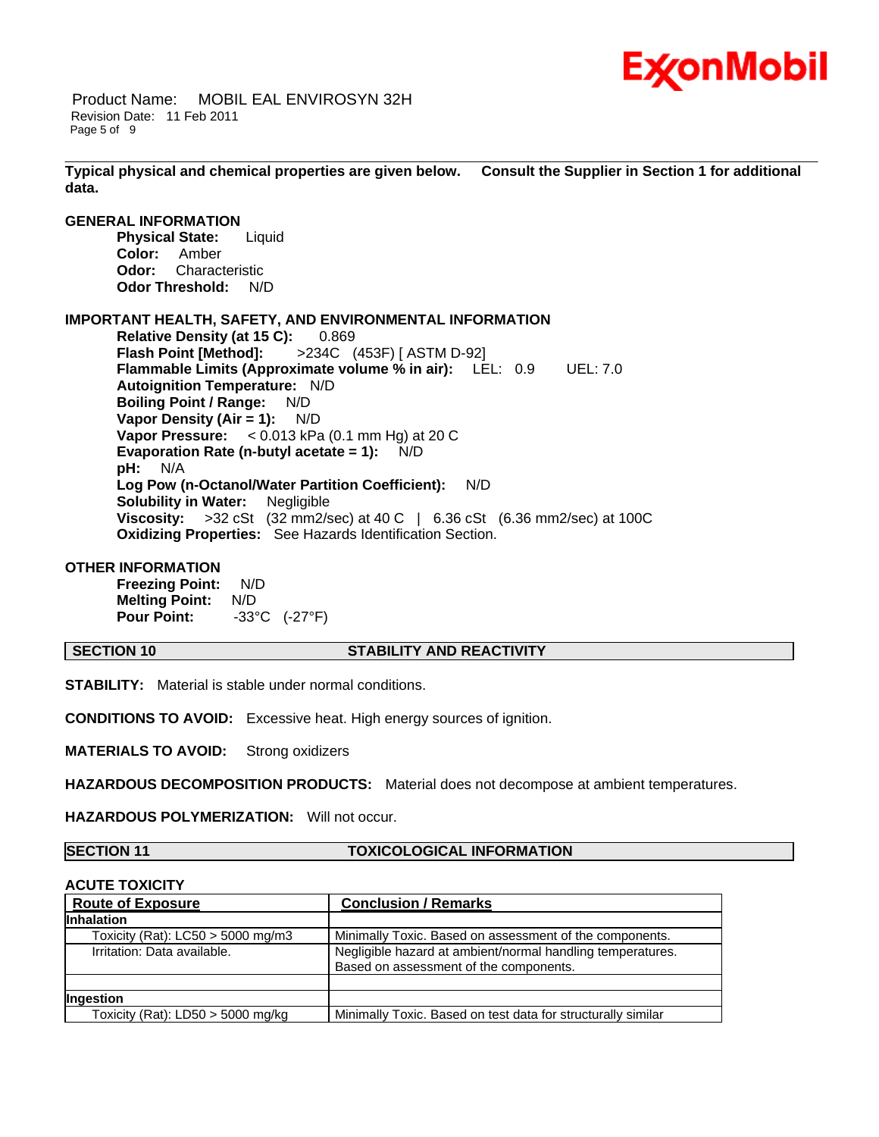

Product Name: MOBIL EAL ENVIROSYN 32H Revision Date: 11 Feb 2011 Page 5 of 9

\_\_\_\_\_\_\_\_\_\_\_\_\_\_\_\_\_\_\_\_\_\_\_\_\_\_\_\_\_\_\_\_\_\_\_\_\_\_\_\_\_\_\_\_\_\_\_\_\_\_\_\_\_\_\_\_\_\_\_\_\_\_\_\_\_\_\_\_\_\_\_\_\_\_\_\_\_\_\_\_\_\_\_\_\_\_\_\_\_\_\_\_\_\_\_\_\_\_\_\_\_\_\_\_\_\_\_\_\_\_\_\_\_\_\_\_\_\_ **Typical physical and chemical properties are given below. Consult the Supplier in Section 1 for additional data.**

**GENERAL INFORMATION Physical State:** Liquid **Color:** Amber **Odor:** Characteristic **Odor Threshold:** N/D

# **IMPORTANT HEALTH, SAFETY, AND ENVIRONMENTAL INFORMATION**

**Relative Density (at 15 C):** 0.869 **Flash Point [Method]:** >234C (453F) [ ASTM D-92] **Flammable Limits (Approximate volume % in air):** LEL: 0.9 UEL: 7.0 **Autoignition Temperature:** N/D **Boiling Point / Range:** N/D **Vapor Density (Air = 1):** N/D **Vapor Pressure:** < 0.013 kPa (0.1 mm Hg) at 20 C **Evaporation Rate (n-butyl acetate = 1):** N/D **pH:** N/A **Log Pow (n-Octanol/Water Partition Coefficient):** N/D **Solubility in Water:** Negligible **Viscosity:** >32 cSt (32 mm2/sec) at 40 C | 6.36 cSt (6.36 mm2/sec) at 100C **Oxidizing Properties:** See Hazards Identification Section.

### **OTHER INFORMATION**

**Freezing Point:** N/D **Melting Point: Pour Point:** -33°C (-27°F)

#### **SECTION 10 STABILITY AND REACTIVITY**

**STABILITY:** Material is stable under normal conditions.

**CONDITIONS TO AVOID:** Excessive heat. High energy sources of ignition.

**MATERIALS TO AVOID:** Strong oxidizers

**HAZARDOUS DECOMPOSITION PRODUCTS:** Material does not decompose at ambient temperatures.

**HAZARDOUS POLYMERIZATION:** Will not occur.

#### **SECTION 11 TOXICOLOGICAL INFORMATION**

#### **ACUTE TOXICITY**

| <b>Route of Exposure</b>            | <b>Conclusion / Remarks</b>                                  |
|-------------------------------------|--------------------------------------------------------------|
| <b>Inhalation</b>                   |                                                              |
| Toxicity (Rat): $LC50 > 5000$ mg/m3 | Minimally Toxic. Based on assessment of the components.      |
| Irritation: Data available.         | Negligible hazard at ambient/normal handling temperatures.   |
|                                     | Based on assessment of the components.                       |
|                                     |                                                              |
| <b>Ingestion</b>                    |                                                              |
| Toxicity (Rat): $LD50 > 5000$ mg/kg | Minimally Toxic. Based on test data for structurally similar |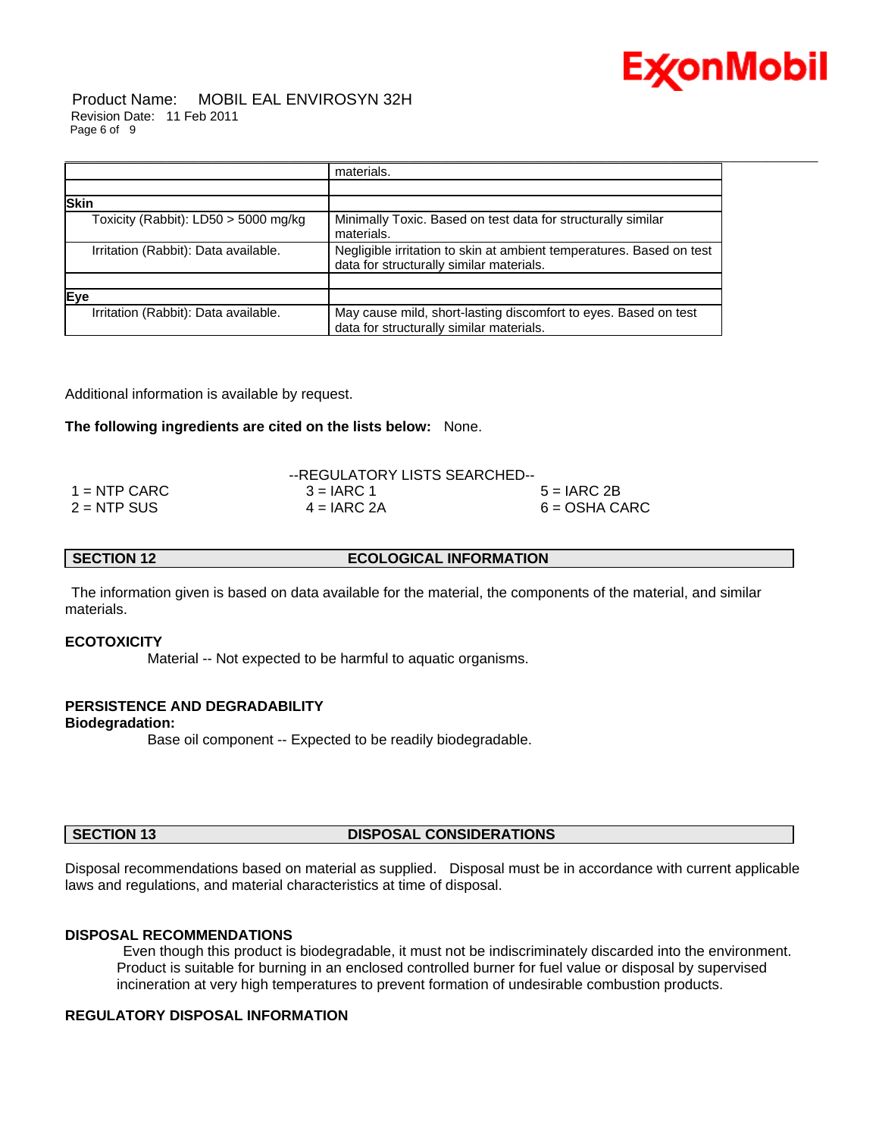

Product Name: MOBIL EAL ENVIROSYN 32H Revision Date: 11 Feb 2011 Page 6 of 9

|                                      | materials.                                                                                                       |
|--------------------------------------|------------------------------------------------------------------------------------------------------------------|
|                                      |                                                                                                                  |
| <b>Skin</b>                          |                                                                                                                  |
| Toxicity (Rabbit): LD50 > 5000 mg/kg | Minimally Toxic. Based on test data for structurally similar<br>materials.                                       |
| Irritation (Rabbit): Data available. | Negligible irritation to skin at ambient temperatures. Based on test<br>data for structurally similar materials. |
|                                      |                                                                                                                  |
| Eye                                  |                                                                                                                  |
| Irritation (Rabbit): Data available. | May cause mild, short-lasting discomfort to eyes. Based on test<br>data for structurally similar materials.      |

Additional information is available by request.

**The following ingredients are cited on the lists below:** None.

|                | --REGULATORY LISTS SEARCHED-- |                 |
|----------------|-------------------------------|-----------------|
| $1 =$ NTP CARC | $3 = IARC 1$                  | $5 = IARC 2B$   |
| $2 =$ NTP SUS  | $4 = IARC 2A$                 | $6 = OSHA CARC$ |

| <b>SECTION 12</b> | <b>ECOLOGICAL INFORMATION</b> |
|-------------------|-------------------------------|
|-------------------|-------------------------------|

The information given is based on data available for the material, the components of the material, and similar materials.

### **ECOTOXICITY**

Material -- Not expected to be harmful to aquatic organisms.

# **PERSISTENCE AND DEGRADABILITY**

**Biodegradation:**

Base oil component -- Expected to be readily biodegradable.

# **SECTION 13 DISPOSAL CONSIDERATIONS**

Disposal recommendations based on material as supplied. Disposal must be in accordance with current applicable laws and regulations, and material characteristics at time of disposal.

# **DISPOSAL RECOMMENDATIONS**

Even though this product is biodegradable, it must not be indiscriminately discarded into the environment. Product is suitable for burning in an enclosed controlled burner for fuel value or disposal by supervised incineration at very high temperatures to prevent formation of undesirable combustion products.

# **REGULATORY DISPOSAL INFORMATION**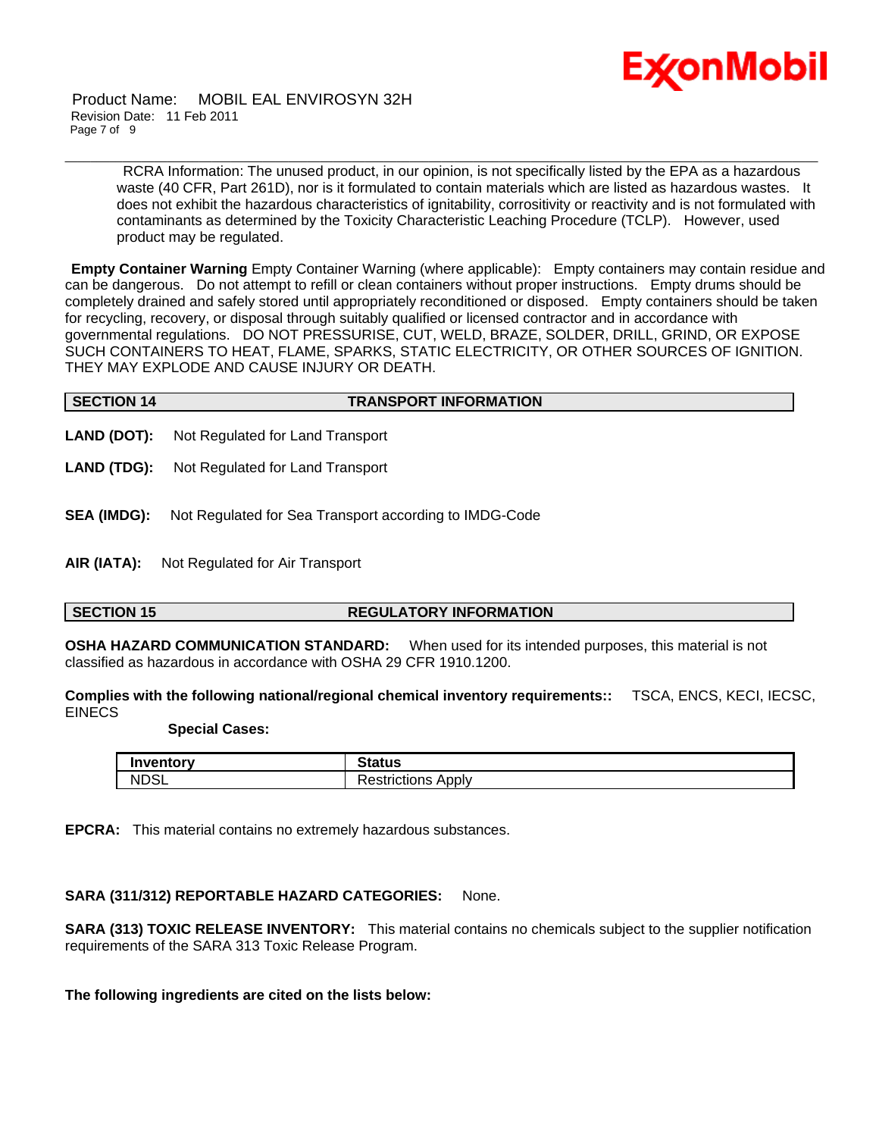

Product Name: MOBIL EAL ENVIROSYN 32H Revision Date: 11 Feb 2011 Page 7 of 9

> RCRA Information: The unused product, in our opinion, is not specifically listed by the EPA as a hazardous waste (40 CFR, Part 261D), nor is it formulated to contain materials which are listed as hazardous wastes. It does not exhibit the hazardous characteristics of ignitability, corrositivity or reactivity and is not formulated with contaminants as determined by the Toxicity Characteristic Leaching Procedure (TCLP). However, used product may be regulated.

\_\_\_\_\_\_\_\_\_\_\_\_\_\_\_\_\_\_\_\_\_\_\_\_\_\_\_\_\_\_\_\_\_\_\_\_\_\_\_\_\_\_\_\_\_\_\_\_\_\_\_\_\_\_\_\_\_\_\_\_\_\_\_\_\_\_\_\_\_\_\_\_\_\_\_\_\_\_\_\_\_\_\_\_\_\_\_\_\_\_\_\_\_\_\_\_\_\_\_\_\_\_\_\_\_\_\_\_\_\_\_\_\_\_\_\_\_\_

**Empty Container Warning** Empty Container Warning (where applicable): Empty containers may contain residue and can be dangerous. Do not attempt to refill or clean containers without proper instructions. Empty drums should be completely drained and safely stored until appropriately reconditioned or disposed. Empty containers should be taken for recycling, recovery, or disposal through suitably qualified or licensed contractor and in accordance with governmental regulations. DO NOT PRESSURISE, CUT, WELD, BRAZE, SOLDER, DRILL, GRIND, OR EXPOSE SUCH CONTAINERS TO HEAT, FLAME, SPARKS, STATIC ELECTRICITY, OR OTHER SOURCES OF IGNITION. THEY MAY EXPLODE AND CAUSE INJURY OR DEATH.

| SECTION 14 | <b>TRANSPORT INFORMATION</b> |
|------------|------------------------------|
|            |                              |

- **LAND (DOT):** Not Regulated for Land Transport
- **LAND (TDG):** Not Regulated for Land Transport
- **SEA (IMDG):** Not Regulated for Sea Transport according to IMDG-Code
- **AIR (IATA):** Not Regulated for Air Transport

# **SECTION 15 REGULATORY INFORMATION**

**OSHA HAZARD COMMUNICATION STANDARD:** When used for its intended purposes, this material is not classified as hazardous in accordance with OSHA 29 CFR 1910.1200.

**Complies with the following national/regional chemical inventory requirements::** TSCA, ENCS, KECI, IECSC, EINECS

#### **Special Cases:**

| Inventory   | $7$ totue<br>auus -                      |
|-------------|------------------------------------------|
| <b>NDSL</b> | -<br>Apply<br><b>Restrictions</b><br>. . |

**EPCRA:** This material contains no extremely hazardous substances.

# **SARA (311/312) REPORTABLE HAZARD CATEGORIES:** None.

**SARA (313) TOXIC RELEASE INVENTORY:** This material contains no chemicals subject to the supplier notification requirements of the SARA 313 Toxic Release Program.

**The following ingredients are cited on the lists below:**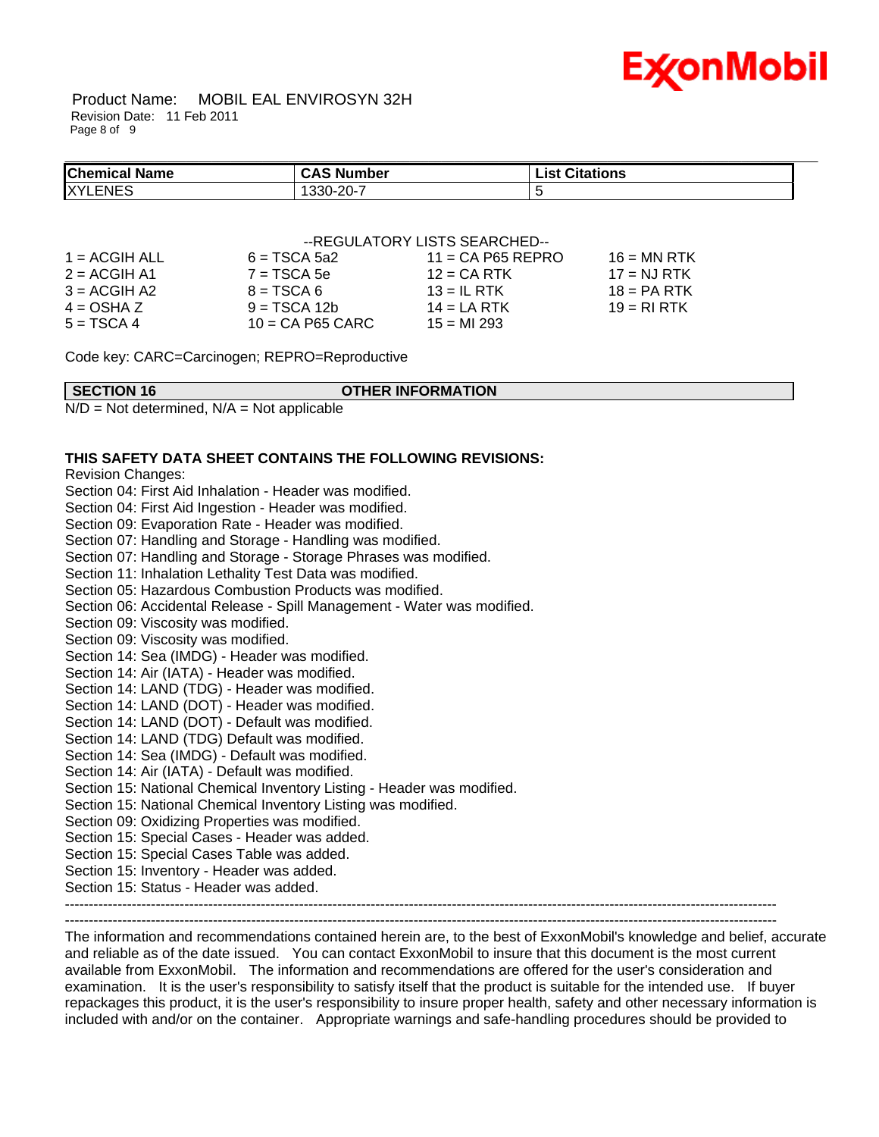

Product Name: MOBIL EAL ENVIROSYN 32H Revision Date: 11 Feb 2011 Page 8 of 9

| <b>Chemical Name</b> | CAS Number | <b>List Citations</b> |  |
|----------------------|------------|-----------------------|--|
| <b>XYLENES</b>       | 1330-20-7  |                       |  |

#### --REGULATORY LISTS SEARCHED--

| $1 = ACGIH ALL$ | $6 = TSCA 5a2$     | $11 = CA$ P65 REPRO | $16 = MN$ RTK |
|-----------------|--------------------|---------------------|---------------|
| $2 = ACGIH A1$  | $7 = TSCA$ 5e      | $12$ = CA RTK       | $17 = NJ RTK$ |
| $3 = ACGIH A2$  | $8 = TSCA6$        | $13 = IL$ RTK       | $18 = PA RTK$ |
| $4 = OSHA Z$    | $9 = TSCA 12b$     | $14 = LA RTK$       | $19 = RIRTK$  |
| $5 = TSCA4$     | $10 = CA$ P65 CARC | $15 = M1 293$       |               |

Code key: CARC=Carcinogen; REPRO=Reproductive

| SECTION 16                                   | <b>OTHER INFORMATION</b> |
|----------------------------------------------|--------------------------|
| $N/D = Not determined, N/A = Not applicable$ |                          |

# **THIS SAFETY DATA SHEET CONTAINS THE FOLLOWING REVISIONS:**

Revision Changes: Section 04: First Aid Inhalation - Header was modified. Section 04: First Aid Ingestion - Header was modified. Section 09: Evaporation Rate - Header was modified. Section 07: Handling and Storage - Handling was modified. Section 07: Handling and Storage - Storage Phrases was modified. Section 11: Inhalation Lethality Test Data was modified. Section 05: Hazardous Combustion Products was modified. Section 06: Accidental Release - Spill Management - Water was modified. Section 09: Viscosity was modified. Section 09: Viscosity was modified. Section 14: Sea (IMDG) - Header was modified. Section 14: Air (IATA) - Header was modified. Section 14: LAND (TDG) - Header was modified. Section 14: LAND (DOT) - Header was modified. Section 14: LAND (DOT) - Default was modified. Section 14: LAND (TDG) Default was modified. Section 14: Sea (IMDG) - Default was modified. Section 14: Air (IATA) - Default was modified. Section 15: National Chemical Inventory Listing - Header was modified. Section 15: National Chemical Inventory Listing was modified. Section 09: Oxidizing Properties was modified. Section 15: Special Cases - Header was added. Section 15: Special Cases Table was added. Section 15: Inventory - Header was added. Section 15: Status - Header was added. ----------------------------------------------------------------------------------------------------------------------------------------------------- -----------------------------------------------------------------------------------------------------------------------------------------------------

The information and recommendations contained herein are, to the best of ExxonMobil's knowledge and belief, accurate and reliable as of the date issued. You can contact ExxonMobil to insure that this document is the most current available from ExxonMobil. The information and recommendations are offered for the user's consideration and examination. It is the user's responsibility to satisfy itself that the product is suitable for the intended use. If buyer repackages this product, it is the user's responsibility to insure proper health, safety and other necessary information is included with and/or on the container. Appropriate warnings and safe-handling procedures should be provided to